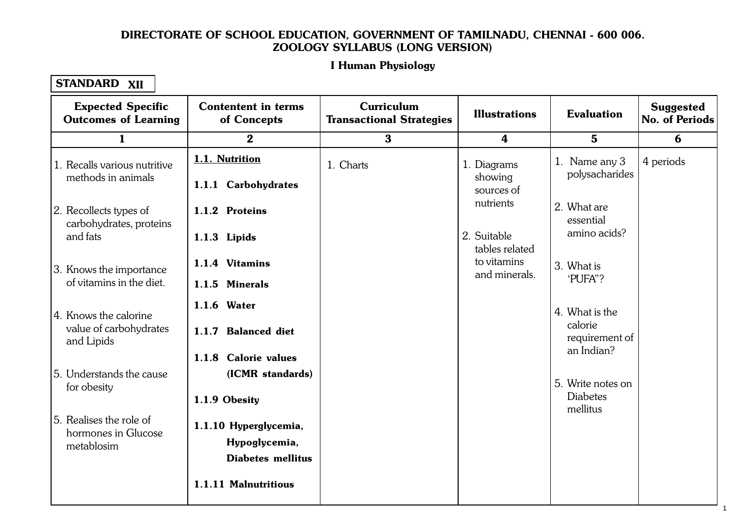#### Let Human Physiology 1.1. Cellular Level Organisation I Human Physiology

#### STANDARD XII

| <b>Expected Specific</b><br><b>Outcomes of Learning</b> | <b>Contentent in terms</b><br>of Concepts | Curriculum<br><b>Transactional Strategies</b> | <b>Illustrations</b>          | <b>Evaluation</b>            | <b>Suggested</b><br>No. of Periods |
|---------------------------------------------------------|-------------------------------------------|-----------------------------------------------|-------------------------------|------------------------------|------------------------------------|
| $\mathbf{1}$                                            | $\bf{2}$                                  | $\bf{3}$                                      | $\boldsymbol{4}$              | $5\phantom{1}$               | 6                                  |
| 1. Recalls various nutritive                            | 1.1. Nutrition                            | 1. Charts                                     | 1. Diagrams                   | 1. Name any 3                | 4 periods                          |
| methods in animals                                      | 1.1.1 Carbohydrates                       |                                               | showing<br>sources of         | polysacharides               |                                    |
| 2. Recollects types of<br>carbohydrates, proteins       | 1.1.2 Proteins                            |                                               | nutrients                     | 2. What are<br>essential     |                                    |
| and fats                                                | 1.1.3 Lipids                              |                                               | 2. Suitable<br>tables related | amino acids?                 |                                    |
| 3. Knows the importance                                 | 1.1.4 Vitamins                            |                                               | to vitamins<br>and minerals.  | 3. What is<br>'PUFA"?        |                                    |
| of vitamins in the diet.                                | 1.1.5 Minerals                            |                                               |                               |                              |                                    |
| 4. Knows the calorine                                   | 1.1.6 Water                               |                                               |                               | 4. What is the<br>calorie    |                                    |
| value of carbohydrates<br>and Lipids                    | 1.1.7 Balanced diet                       |                                               |                               | requirement of<br>an Indian? |                                    |
|                                                         | 1.1.8 Calorie values                      |                                               |                               |                              |                                    |
| 5. Understands the cause<br>for obesity                 | (ICMR standards)                          |                                               |                               | 5. Write notes on            |                                    |
|                                                         | 1.1.9 Obesity                             |                                               |                               | <b>Diabetes</b><br>mellitus  |                                    |
| 5. Realises the role of<br>hormones in Glucose          | 1.1.10 Hyperglycemia,                     |                                               |                               |                              |                                    |
| metablosim                                              | Hypoglycemia,<br><b>Diabetes mellitus</b> |                                               |                               |                              |                                    |
|                                                         | 1.1.11 Malnutritious                      |                                               |                               |                              |                                    |

1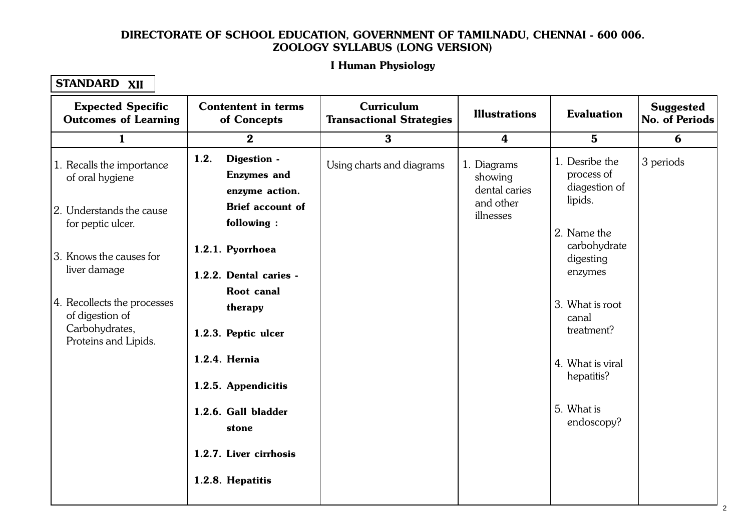#### Let Human Physiology 1.1. Cellular Level Organisation I Human Physiology

| <b>Expected Specific</b><br><b>Outcomes of Learning</b>                                  | <b>Contentent in terms</b><br>of Concepts                   | Curriculum<br><b>Transactional Strategies</b> | <b>Illustrations</b>                                 | <b>Evaluation</b>                                        | <b>Suggested</b><br>No. of Periods |
|------------------------------------------------------------------------------------------|-------------------------------------------------------------|-----------------------------------------------|------------------------------------------------------|----------------------------------------------------------|------------------------------------|
| 1                                                                                        | $\bf{2}$                                                    | $\bf{3}$                                      | 4                                                    | $5\phantom{.}$                                           | 6                                  |
| 1. Recalls the importance<br>of oral hygiene                                             | 1.2.<br>Digestion -<br><b>Enzymes</b> and<br>enzyme action. | Using charts and diagrams                     | 1. Diagrams<br>showing<br>dental caries<br>and other | 1. Desribe the<br>process of<br>diagestion of<br>lipids. | 3 periods                          |
| 2. Understands the cause<br>for peptic ulcer.                                            | <b>Brief account of</b><br>following:                       |                                               | illnesses                                            |                                                          |                                    |
| 3. Knows the causes for                                                                  | 1.2.1. Pyorrhoea                                            |                                               | 2. Name the                                          | carbohydrate<br>digesting                                |                                    |
| liver damage                                                                             | 1.2.2. Dental caries -<br><b>Root</b> canal                 |                                               |                                                      | enzymes                                                  |                                    |
| 4. Recollects the processes<br>of digestion of<br>Carbohydrates,<br>Proteins and Lipids. | therapy<br>1.2.3. Peptic ulcer                              |                                               |                                                      | 3. What is root<br>canal<br>treatment?                   |                                    |
|                                                                                          | 1.2.4. Hernia<br>1.2.5. Appendicitis                        |                                               |                                                      | 4. What is viral<br>hepatitis?                           |                                    |
|                                                                                          | 1.2.6. Gall bladder<br>stone                                |                                               |                                                      | 5. What is<br>endoscopy?                                 |                                    |
|                                                                                          | 1.2.7. Liver cirrhosis<br>1.2.8. Hepatitis                  |                                               |                                                      |                                                          |                                    |
|                                                                                          |                                                             |                                               |                                                      |                                                          |                                    |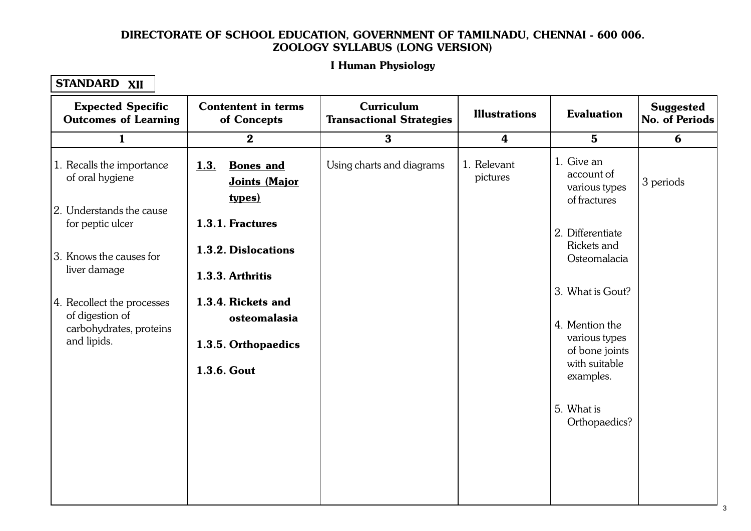#### Let Human Physiology 1.1. Cellular Level Organisation I Human Physiology

| <b>Expected Specific</b><br><b>Outcomes of Learning</b>                                 | <b>Contentent in terms</b><br>of Concepts                  | Curriculum<br><b>Transactional Strategies</b> | <b>Illustrations</b>    | <b>Evaluation</b>                                         | <b>Suggested</b><br>No. of Periods |
|-----------------------------------------------------------------------------------------|------------------------------------------------------------|-----------------------------------------------|-------------------------|-----------------------------------------------------------|------------------------------------|
| $\mathbf{1}$                                                                            | $\bf{2}$                                                   | 3                                             | $\boldsymbol{4}$        | $5\phantom{1}$                                            | 6                                  |
| 1. Recalls the importance<br>of oral hygiene                                            | 1.3.<br><b>Bones</b> and<br>Joints (Major<br><u>types)</u> | Using charts and diagrams                     | 1. Relevant<br>pictures | 1. Give an<br>account of<br>various types<br>of fractures | 3 periods                          |
| 2. Understands the cause<br>for peptic ulcer                                            | 1.3.1. Fractures                                           |                                               |                         | 2. Differentiate                                          |                                    |
| 3. Knows the causes for<br>liver damage                                                 | 1.3.2. Dislocations                                        |                                               |                         | Rickets and<br>Osteomalacia                               |                                    |
|                                                                                         | 1.3.3. Arthritis                                           |                                               |                         | 3. What is Gout?                                          |                                    |
| 4. Recollect the processes<br>of digestion of<br>carbohydrates, proteins<br>and lipids. | 1.3.4. Rickets and<br>osteomalasia<br>1.3.5. Orthopaedics  |                                               |                         | 4. Mention the<br>various types<br>of bone joints         |                                    |
|                                                                                         | 1.3.6. Gout                                                |                                               |                         | with suitable<br>examples.                                |                                    |
|                                                                                         |                                                            |                                               |                         | 5. What is<br>Orthopaedics?                               |                                    |
|                                                                                         |                                                            |                                               |                         |                                                           |                                    |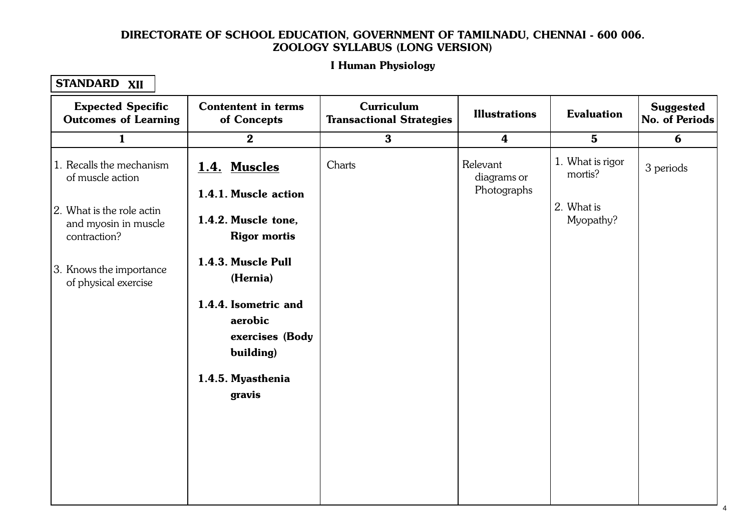#### Let Human Physiology 1.1. Cellular Level Organisation I Human Physiology

| <b>Expected Specific</b><br><b>Outcomes of Learning</b>           | <b>Contentent in terms</b><br>of Concepts                       | Curriculum<br><b>Transactional Strategies</b> | <b>Illustrations</b>                   | <b>Evaluation</b>           | <b>Suggested</b><br><b>No. of Periods</b> |
|-------------------------------------------------------------------|-----------------------------------------------------------------|-----------------------------------------------|----------------------------------------|-----------------------------|-------------------------------------------|
| $\mathbf{1}$                                                      | $\bf{2}$                                                        | $\mathbf{3}$                                  | $\boldsymbol{4}$                       | $5\phantom{1}$              | 6                                         |
| 1. Recalls the mechanism<br>of muscle action                      | 1.4. Muscles<br>1.4.1. Muscle action                            | Charts                                        | Relevant<br>diagrams or<br>Photographs | 1. What is rigor<br>mortis? | 3 periods                                 |
| 2. What is the role actin<br>and myosin in muscle<br>contraction? | 1.4.2. Muscle tone,<br><b>Rigor mortis</b>                      |                                               |                                        | 2. What is<br>Myopathy?     |                                           |
| 3. Knows the importance<br>of physical exercise                   | 1.4.3. Muscle Pull<br>(Hernia)                                  |                                               |                                        |                             |                                           |
|                                                                   | 1.4.4. Isometric and<br>aerobic<br>exercises (Body<br>building) |                                               |                                        |                             |                                           |
|                                                                   | 1.4.5. Myasthenia<br>gravis                                     |                                               |                                        |                             |                                           |
|                                                                   |                                                                 |                                               |                                        |                             |                                           |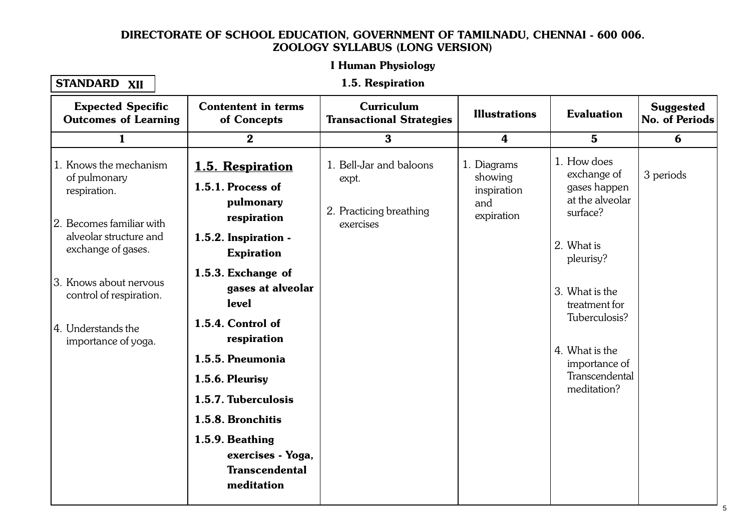#### Let Human Physiology I Human Physiology

#### STANDARD XII

#### 1.1. Cellular Level Organisation 1.5. Respiration

| <b>Expected Specific</b><br><b>Outcomes of Learning</b>                                                                                                                                                                                | <b>Contentent in terms</b><br>of Concepts                                                                                                                                                                                                                                                                                                                                | <b>Curriculum</b><br><b>Transactional Strategies</b>                     | <b>Illustrations</b>                                       | <b>Evaluation</b>                                                                                                                                                                                                            | <b>Suggested</b><br><b>No. of Periods</b> |
|----------------------------------------------------------------------------------------------------------------------------------------------------------------------------------------------------------------------------------------|--------------------------------------------------------------------------------------------------------------------------------------------------------------------------------------------------------------------------------------------------------------------------------------------------------------------------------------------------------------------------|--------------------------------------------------------------------------|------------------------------------------------------------|------------------------------------------------------------------------------------------------------------------------------------------------------------------------------------------------------------------------------|-------------------------------------------|
| $\mathbf{1}$                                                                                                                                                                                                                           | $\bf{2}$                                                                                                                                                                                                                                                                                                                                                                 | $\bf{3}$                                                                 | $\boldsymbol{4}$                                           | $5\phantom{1}$                                                                                                                                                                                                               | 6                                         |
| 1. Knows the mechanism<br>of pulmonary<br>respiration.<br>2. Becomes familiar with<br>alveolar structure and<br>exchange of gases.<br>13. Knows about nervous<br>control of respiration.<br>14. Understands the<br>importance of yoga. | 1.5. Respiration<br>1.5.1. Process of<br>pulmonary<br>respiration<br>1.5.2. Inspiration -<br><b>Expiration</b><br>1.5.3. Exchange of<br>gases at alveolar<br>level<br>1.5.4. Control of<br>respiration<br>1.5.5. Pneumonia<br>1.5.6. Pleurisy<br>1.5.7. Tuberculosis<br>1.5.8. Bronchitis<br>1.5.9. Beathing<br>exercises - Yoga,<br><b>Transcendental</b><br>meditation | 1. Bell-Jar and baloons<br>expt.<br>2. Practicing breathing<br>exercises | 1. Diagrams<br>showing<br>inspiration<br>and<br>expiration | 1. How does<br>exchange of<br>gases happen<br>at the alveolar<br>surface?<br>2. What is<br>pleurisy?<br>3. What is the<br>treatment for<br>Tuberculosis?<br>4. What is the<br>importance of<br>Transcendental<br>meditation? | 3 periods                                 |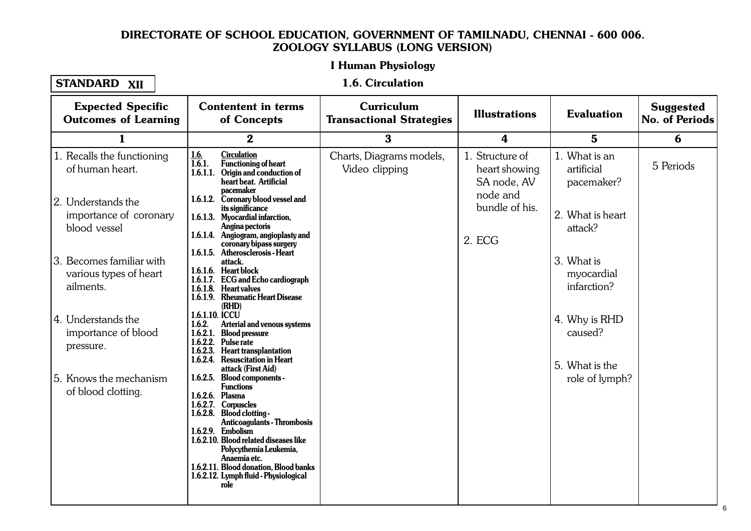#### I Human Physiology 1.1. Cellular Level Organisation

#### STANDARD XII

#### 1.6. Circulation

| <b>Expected Specific</b><br><b>Outcomes of Learning</b>         | <b>Contentent in terms</b><br>of Concepts                                                                                                                                                                                                                                                                                                                      | Curriculum<br><b>Transactional Strategies</b> | <b>Illustrations</b>                            | <b>Evaluation</b>                          | <b>Suggested</b><br>No. of Periods |
|-----------------------------------------------------------------|----------------------------------------------------------------------------------------------------------------------------------------------------------------------------------------------------------------------------------------------------------------------------------------------------------------------------------------------------------------|-----------------------------------------------|-------------------------------------------------|--------------------------------------------|------------------------------------|
| 1                                                               | $\bf{2}$                                                                                                                                                                                                                                                                                                                                                       | 3                                             | 4                                               | $5\phantom{.0}$                            | 6                                  |
| 1. Recalls the functioning<br>of human heart.                   | 1.6.<br><b>Circulation</b><br>1.6.1.<br>Functioning of heart<br>1.6.1.1. Origin and conduction of<br>heart beat. Artificial<br>pacemaker                                                                                                                                                                                                                       | Charts, Diagrams models,<br>Video clipping    | 1. Structure of<br>heart showing<br>SA node, AV | 1. What is an<br>artificial<br>pacemaker?  | 5 Periods                          |
| 2. Understands the<br>importance of coronary<br>blood vessel    | 1.6.1.2. Coronary blood vessel and<br>its significance<br>1.6.1.3. Myocardial infarction,<br>Angina pectoris<br>1.6.1.4. Angiogram, angioplasty and<br>coronary bipass surgery                                                                                                                                                                                 |                                               | node and<br>bundle of his.<br>2. ECG            | 2. What is heart<br>attack?                |                                    |
| 3. Becomes familiar with<br>various types of heart<br>ailments. | 1.6.1.5. Atherosclerosis - Heart<br>attack.<br>1.6.1.6. Heart block<br>1.6.1.7. ECG and Echo cardiograph<br>1.6.1.8. Heart valves<br>1.6.1.9. Rheumatic Heart Disease<br>(RHD)                                                                                                                                                                                 |                                               |                                                 | 3. What is<br>myocardial<br>infarction?    |                                    |
| 4. Understands the<br>importance of blood<br>pressure.          | 1.6.1.10. ICCU<br>1.6.2.<br>Arterial and venous systems<br>1.6.2.1. Blood pressure<br>1.6.2.2. Pulse rate<br>1.6.2.3. Heart transplantation<br>1.6.2.4. Resuscitation in Heart<br>attack (First Aid)                                                                                                                                                           |                                               |                                                 | 4. Why is RHD<br>caused?<br>5. What is the |                                    |
| 5. Knows the mechanism<br>of blood clotting.                    | 1.6.2.5. Blood components -<br><b>Functions</b><br>1.6.2.6. Plasma<br>1.6.2.7. Corpuscles<br>1.6.2.8. Blood clotting -<br><b>Anticoagulants - Thrombosis</b><br>1.6.2.9. Embolism<br>1.6.2.10. Blood related diseases like<br>Polycythemia Leukemia,<br>Anaemia etc.<br>1.6.2.11. Blood donation, Blood banks<br>1.6.2.12. Lymph fluid - Physiological<br>role |                                               |                                                 | role of lymph?                             |                                    |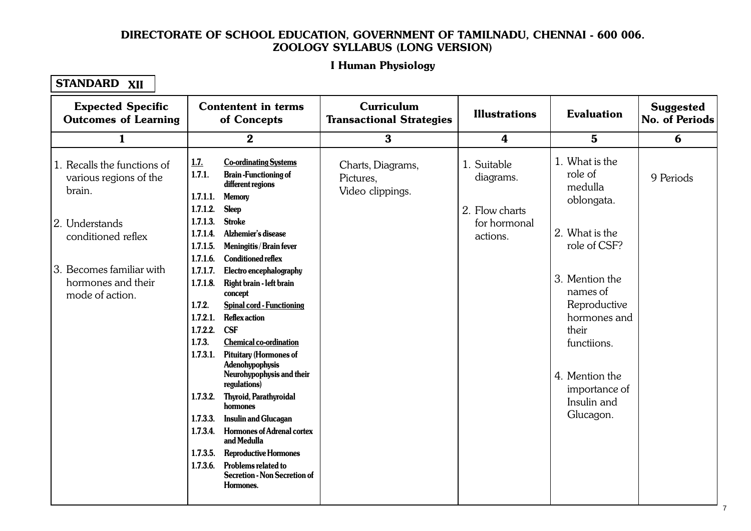#### Let Human Physiology 1.1. Cellular Level Organisation I Human Physiology

| <b>Expected Specific</b><br><b>Outcomes of Learning</b>                                                                                                                      | <b>Contentent in terms</b><br>of Concepts                                                                                                                                                                                                                                                                                                                                                                                                                                                                                                                                                                                                                                                                                                                                                                                                                                                                                                                                  | Curriculum<br><b>Transactional Strategies</b>      | <b>Illustrations</b>                                                   | <b>Evaluation</b>                                                                                                                                                                                                                         | <b>Suggested</b><br><b>No. of Periods</b> |
|------------------------------------------------------------------------------------------------------------------------------------------------------------------------------|----------------------------------------------------------------------------------------------------------------------------------------------------------------------------------------------------------------------------------------------------------------------------------------------------------------------------------------------------------------------------------------------------------------------------------------------------------------------------------------------------------------------------------------------------------------------------------------------------------------------------------------------------------------------------------------------------------------------------------------------------------------------------------------------------------------------------------------------------------------------------------------------------------------------------------------------------------------------------|----------------------------------------------------|------------------------------------------------------------------------|-------------------------------------------------------------------------------------------------------------------------------------------------------------------------------------------------------------------------------------------|-------------------------------------------|
| $\mathbf{1}$                                                                                                                                                                 | $\boldsymbol{2}$                                                                                                                                                                                                                                                                                                                                                                                                                                                                                                                                                                                                                                                                                                                                                                                                                                                                                                                                                           | $\bf{3}$                                           | 4                                                                      | $5\phantom{.0}$                                                                                                                                                                                                                           | 6                                         |
| 1. Recalls the functions of<br>various regions of the<br>brain.<br>2. Understands<br>conditioned reflex<br>3. Becomes familiar with<br>hormones and their<br>mode of action. | 1.7.<br><b>Co-ordinating Systems</b><br>1.7.1.<br><b>Brain-Functioning of</b><br>different regions<br>1.7.1.1.<br><b>Memory</b><br>1.7.1.2.<br><b>Sleep</b><br>1.7.1.3.<br><b>Stroke</b><br>Alzhemier's disease<br>1.7.1.4.<br>1.7.1.5.<br>Meningitis / Brain fever<br>1.7.1.6.<br><b>Conditioned reflex</b><br>1.7.1.7.<br>Electro encephalography<br>1.7.1.8.<br>Right brain - left brain<br>concept<br>1.7.2.<br><b>Spinal cord - Functioning</b><br>1.7.2.1.<br><b>Reflex action</b><br><b>CSF</b><br>1.7.2.2.<br>1.7.3.<br><b>Chemical co-ordination</b><br><b>Pituitary (Hormones of</b><br>1.7.3.1.<br>Adenohypophysis<br>Neurohypophysis and their<br>regulations)<br>1.7.3.2.<br>Thyroid, Parathyroidal<br>hormones<br>1.7.3.3.<br><b>Insulin and Glucagan</b><br><b>Hormones of Adrenal cortex</b><br>1.7.3.4.<br>and Medulla<br><b>Reproductive Hormones</b><br>1.7.3.5.<br>Problems related to<br>1.7.3.6.<br><b>Secretion - Non Secretion of</b><br>Hormones. | Charts, Diagrams,<br>Pictures,<br>Video clippings. | 1. Suitable<br>diagrams.<br>2. Flow charts<br>for hormonal<br>actions. | 1. What is the<br>role of<br>medulla<br>oblongata.<br>2. What is the<br>role of CSF?<br>3. Mention the<br>names of<br>Reproductive<br>hormones and<br>their<br>functiions.<br>4. Mention the<br>importance of<br>Insulin and<br>Glucagon. | 9 Periods                                 |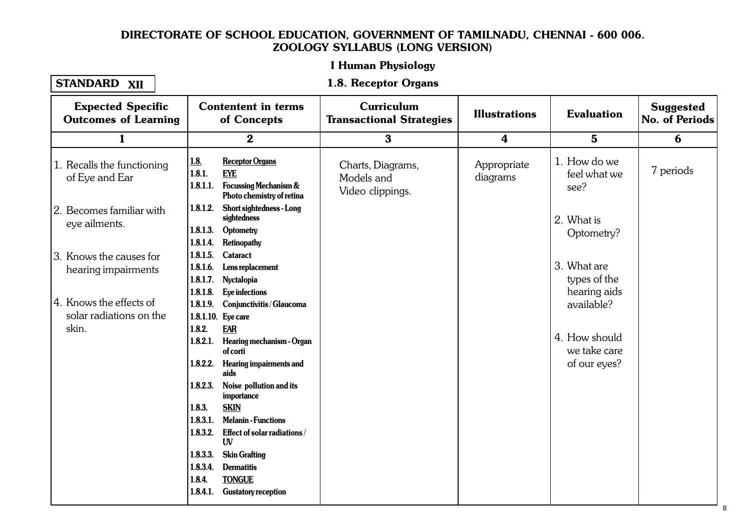#### I Human Physiology 1.1. Cellular Level Organisation

### STANDARD XII

#### 1.8. Receptor Organs

| <b>Expected Specific</b><br><b>Outcomes of Learning</b>     |                                              | <b>Contentent in terms</b><br>of Concepts                                                             | Curriculum<br><b>Transactional Strategies</b>       | <b>Illustrations</b>    | <b>Evaluation</b>                             | <b>Suggested</b><br>No. of Periods |
|-------------------------------------------------------------|----------------------------------------------|-------------------------------------------------------------------------------------------------------|-----------------------------------------------------|-------------------------|-----------------------------------------------|------------------------------------|
| 1                                                           |                                              | $\bf{2}$                                                                                              | $\bf{3}$                                            | 4                       | $5\phantom{.0}$                               | 6                                  |
| 1. Recalls the functioning<br>of Eye and Ear                | <u>1.8.</u><br>1.8.1.<br>1.8.1.1.            | <b>Receptor Organs</b><br><b>EYE</b><br><b>Focussing Mechanism &amp;</b><br>Photo chemistry of retina | Charts, Diagrams,<br>Models and<br>Video clippings. | Appropriate<br>diagrams | 1. How do we<br>feel what we<br>see?          | 7 periods                          |
| 2. Becomes familiar with<br>eye ailments.                   | 1.8.1.2.<br>1.8.1.3.<br>1.8.1.4.             | <b>Short sightedness - Long</b><br>sightedness<br>Optometry<br>Retinopathy                            |                                                     |                         | 2. What is<br>Optometry?                      |                                    |
| 3. Knows the causes for<br>hearing impairments              | 1.8.1.5.<br>1.8.1.6.<br>1.8.1.7.<br>1.8.1.8. | Cataract<br>Lens replacement<br>Nyctalopia<br>Eye infections                                          |                                                     |                         | 3. What are<br>types of the<br>hearing aids   |                                    |
| 4. Knows the effects of<br>solar radiations on the<br>skin. | 1.8.1.9.<br>1.8.2.                           | Conjunctivitis/Glaucoma<br>1.8.1.10. Eye care<br><b>EAR</b>                                           |                                                     |                         | available?                                    |                                    |
|                                                             | 1.8.2.1.<br>1.8.2.2.                         | Hearing mechanism - Organ<br>of corti<br><b>Hearing impairments and</b>                               |                                                     |                         | 4. How should<br>we take care<br>of our eyes? |                                    |
|                                                             | 1.8.2.3.                                     | aids<br>Noise pollution and its<br>importance                                                         |                                                     |                         |                                               |                                    |
|                                                             | 1.8.3.<br>1.8.3.1.<br>1.8.3.2.               | <b>SKIN</b><br><b>Melanin - Functions</b><br>Effect of solar radiations/<br>UV                        |                                                     |                         |                                               |                                    |
|                                                             | 1.8.3.3.<br>1.8.3.4.<br>1.8.4.<br>1.8.4.1.   | <b>Skin Grafting</b><br><b>Dermatitis</b><br><b>TONGUE</b><br><b>Gustatory reception</b>              |                                                     |                         |                                               |                                    |
|                                                             |                                              |                                                                                                       |                                                     |                         |                                               |                                    |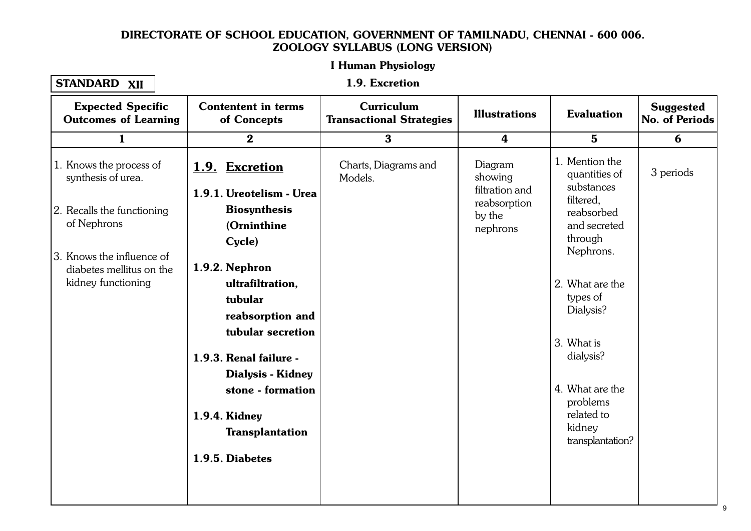#### Let Human Physiology I Human Physiology

| <b>STANDARD</b> | XII |
|-----------------|-----|
|-----------------|-----|

1.1. Cellular Level Organisation 1.9. Excretion

| <b>Expected Specific</b><br><b>Outcomes of Learning</b>                                                                                                                   | <b>Contentent in terms</b><br>of Concepts                                                                                                                                                                                                                                                                                     | <b>Curriculum</b><br><b>Transactional Strategies</b> | <b>Illustrations</b>                                                       | <b>Evaluation</b>                                                                                                                                                                                                                                                  | <b>Suggested</b><br><b>No. of Periods</b> |
|---------------------------------------------------------------------------------------------------------------------------------------------------------------------------|-------------------------------------------------------------------------------------------------------------------------------------------------------------------------------------------------------------------------------------------------------------------------------------------------------------------------------|------------------------------------------------------|----------------------------------------------------------------------------|--------------------------------------------------------------------------------------------------------------------------------------------------------------------------------------------------------------------------------------------------------------------|-------------------------------------------|
| $\mathbf{1}$                                                                                                                                                              | $\bf{2}$                                                                                                                                                                                                                                                                                                                      | $\bf{3}$                                             | $\boldsymbol{4}$                                                           | $5\phantom{1}$                                                                                                                                                                                                                                                     | 6                                         |
| 1. Knows the process of<br>synthesis of urea.<br>2. Recalls the functioning<br>of Nephrons<br>3. Knows the influence of<br>diabetes mellitus on the<br>kidney functioning | 1.9. Excretion<br>1.9.1. Ureotelism - Urea<br><b>Biosynthesis</b><br>(Orninthine<br>Cycle)<br>1.9.2. Nephron<br>ultrafiltration,<br>tubular<br>reabsorption and<br>tubular secretion<br>1.9.3. Renal failure -<br><b>Dialysis - Kidney</b><br>stone - formation<br>1.9.4. Kidney<br><b>Transplantation</b><br>1.9.5. Diabetes | Charts, Diagrams and<br>Models.                      | Diagram<br>showing<br>filtration and<br>reabsorption<br>by the<br>nephrons | 1. Mention the<br>quantities of<br>substances<br>filtered,<br>reabsorbed<br>and secreted<br>through<br>Nephrons.<br>2. What are the<br>types of<br>Dialysis?<br>3. What is<br>dialysis?<br>4. What are the<br>problems<br>related to<br>kidney<br>transplantation? | 3 periods                                 |
|                                                                                                                                                                           |                                                                                                                                                                                                                                                                                                                               |                                                      |                                                                            |                                                                                                                                                                                                                                                                    |                                           |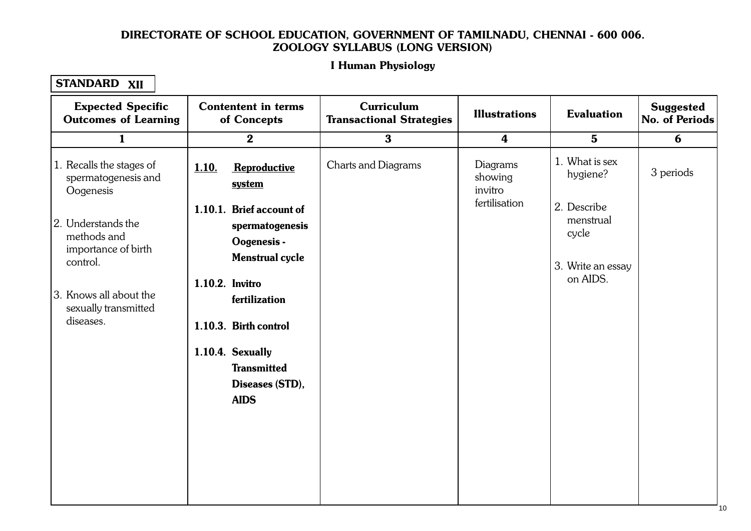#### Let Human Physiology 1.1. Cellular Level Organisation I Human Physiology

| <b>Expected Specific</b><br><b>Outcomes of Learning</b>              | <b>Contentent in terms</b><br>of Concepts                                            | <b>Curriculum</b><br><b>Transactional Strategies</b> | <b>Illustrations</b>                                               | <b>Evaluation</b>          | <b>Suggested</b><br><b>No. of Periods</b> |
|----------------------------------------------------------------------|--------------------------------------------------------------------------------------|------------------------------------------------------|--------------------------------------------------------------------|----------------------------|-------------------------------------------|
| $\mathbf{1}$                                                         | $\boldsymbol{2}$                                                                     | $\bf{3}$                                             | $\boldsymbol{4}$                                                   | $5\phantom{1}$             | 6                                         |
| 1. Recalls the stages of<br>spermatogenesis and<br>Oogenesis         | 1.10.<br>Reproductive<br>system                                                      | Charts and Diagrams                                  | Diagrams<br>showing<br>invitro<br>fertilisation                    | 1. What is sex<br>hygiene? | 3 periods                                 |
| 2. Understands the<br>methods and<br>importance of birth<br>control. | 1.10.1. Brief account of<br>spermatogenesis<br>Oogenesis -<br><b>Menstrual cycle</b> |                                                      | 2. Describe<br>menstrual<br>cycle<br>3. Write an essay<br>on AIDS. |                            |                                           |
| 3. Knows all about the<br>sexually transmitted<br>diseases.          | 1.10.2. Invitro<br>fertilization<br>1.10.3. Birth control                            |                                                      |                                                                    |                            |                                           |
|                                                                      | 1.10.4. Sexually<br><b>Transmitted</b><br>Diseases (STD),<br><b>AIDS</b>             |                                                      |                                                                    |                            |                                           |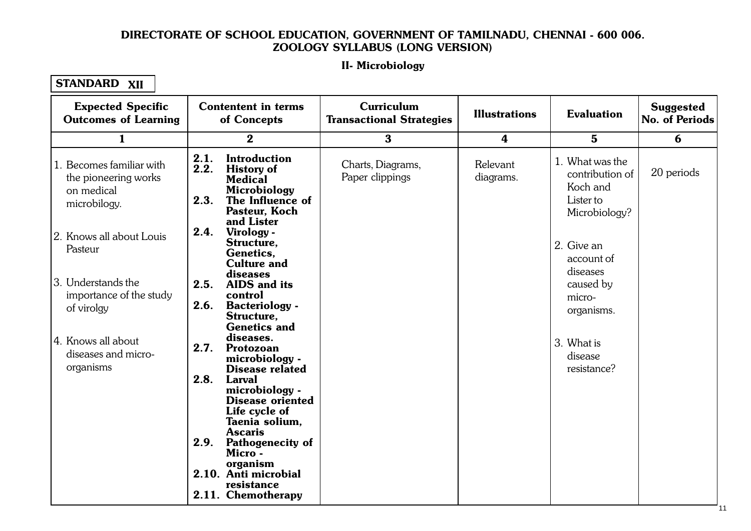#### II. Microbiology  $1.11111100$ II- Microbiology

| <b>Expected Specific</b><br><b>Outcomes of Learning</b>                        | <b>Contentent in terms</b><br>of Concepts                                                                                                                            | Curriculum<br><b>Transactional Strategies</b> | <b>Illustrations</b>  | <b>Evaluation</b>                                                            | <b>Suggested</b><br>No. of Periods |
|--------------------------------------------------------------------------------|----------------------------------------------------------------------------------------------------------------------------------------------------------------------|-----------------------------------------------|-----------------------|------------------------------------------------------------------------------|------------------------------------|
| $\mathbf{1}$                                                                   | $\bf{2}$                                                                                                                                                             | $\bf{3}$                                      | 4                     | $5\phantom{.0}$                                                              | 6                                  |
| 1. Becomes familiar with<br>the pioneering works<br>on medical<br>microbilogy. | 2.1.<br><b>Introduction</b><br>2.2.<br><b>History of</b><br><b>Medical</b><br>Microbiology<br>2.3.<br>The Influence of<br>Pasteur, Koch                              | Charts, Diagrams,<br>Paper clippings          | Relevant<br>diagrams. | 1. What was the<br>contribution of<br>Koch and<br>Lister to<br>Microbiology? | 20 periods                         |
| 2. Knows all about Louis<br>Pasteur                                            | and Lister<br>2.4.<br>Virology -<br>Structure,<br>Genetics,<br><b>Culture and</b>                                                                                    |                                               |                       | 2. Give an<br>account of<br>diseases                                         |                                    |
| 3. Understands the<br>importance of the study<br>of virolgy                    | diseases<br>2.5.<br><b>AIDS</b> and its<br>control<br>2.6.<br><b>Bacteriology</b> -<br>Structure,                                                                    |                                               |                       | caused by<br>micro-<br>organisms.                                            |                                    |
| 4. Knows all about<br>diseases and micro-<br>organisms                         | <b>Genetics and</b><br>diseases.<br>2.7.<br>Protozoan<br>microbiology -<br><b>Disease related</b>                                                                    |                                               |                       | 3. What is<br>disease<br>resistance?                                         |                                    |
|                                                                                | 2.8.<br><b>Larval</b><br>microbiology -<br><b>Disease oriented</b><br>Life cycle of<br>Taenia solium,<br><b>Ascaris</b><br>2.9.<br><b>Pathogenecity of</b><br>Micro- |                                               |                       |                                                                              |                                    |
|                                                                                | organism<br>2.10. Anti microbial<br>resistance<br>2.11. Chemotherapy                                                                                                 |                                               |                       |                                                                              |                                    |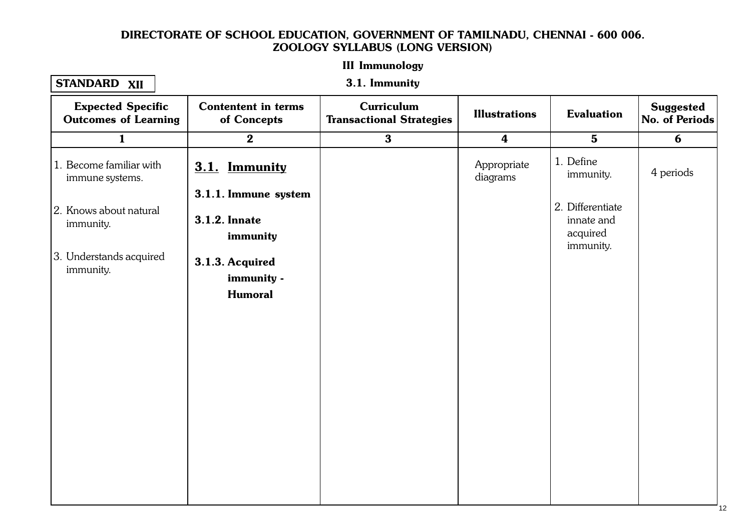#### III Immunology 1.1. Cellular Level Organisation of the contract of the contract of the contract of the contract of the contract of the contract of the contract of the contract of the contract of the contract of the contract of the contra

### STANDARD XII

3.1. Immunity

| <b>Expected Specific</b><br><b>Outcomes of Learning</b> | <b>Contentent in terms</b><br>of Concepts                | <b>Curriculum</b><br><b>Transactional Strategies</b> | <b>Illustrations</b>    | <b>Evaluation</b>                                       | <b>Suggested</b><br>No. of Periods |
|---------------------------------------------------------|----------------------------------------------------------|------------------------------------------------------|-------------------------|---------------------------------------------------------|------------------------------------|
| $\mathbf{1}$                                            | $\bf{2}$                                                 | $\mathbf{3}$                                         | $\boldsymbol{4}$        | $5\phantom{1}$                                          | 6                                  |
| 1. Become familiar with<br>immune systems.              | 3.1. Immunity                                            |                                                      | Appropriate<br>diagrams | 1. Define<br>immunity.                                  | 4 periods                          |
| 2. Knows about natural<br>immunity.                     | 3.1.1. Immune system<br><b>3.1.2. Innate</b><br>immunity |                                                      |                         | 2. Differentiate<br>innate and<br>acquired<br>immunity. |                                    |
| 3. Understands acquired<br>immunity.                    | 3.1.3. Acquired<br>immunity -<br><b>Humoral</b>          |                                                      |                         |                                                         |                                    |
|                                                         |                                                          |                                                      |                         |                                                         |                                    |
|                                                         |                                                          |                                                      |                         |                                                         |                                    |
|                                                         |                                                          |                                                      |                         |                                                         |                                    |
|                                                         |                                                          |                                                      |                         |                                                         |                                    |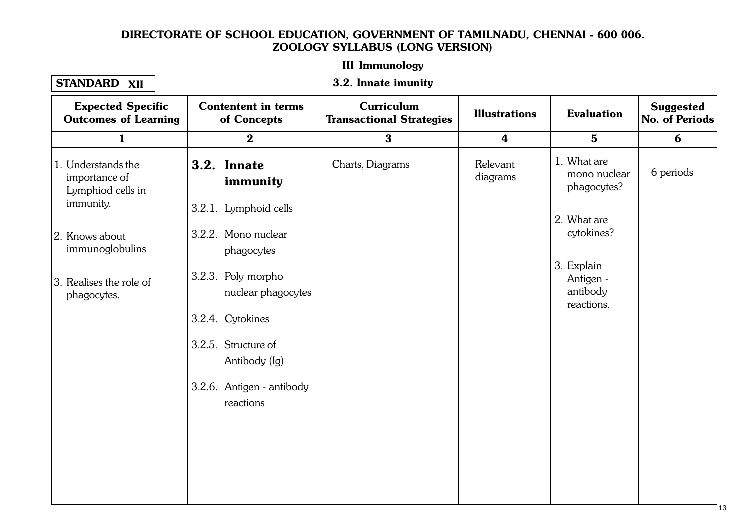#### III Immunology 1.1. Cellular Level Organisation of the contract of the contract of the contract of the contract of the contract of the contract of the contract of the contract of the contract of the contract of the contract of the contra

## STANDARD XII

#### 3.2. Innate imunity

| <b>Expected Specific</b><br><b>Outcomes of Learning</b>               | <b>Contentent in terms</b><br>of Concepts                | <b>Curriculum</b><br><b>Transactional Strategies</b> | <b>Illustrations</b> | <b>Evaluation</b>                                 | <b>Suggested</b><br>No. of Periods |
|-----------------------------------------------------------------------|----------------------------------------------------------|------------------------------------------------------|----------------------|---------------------------------------------------|------------------------------------|
| $\mathbf{1}$                                                          | $\bf{2}$                                                 | $\mathbf{3}$                                         | $\boldsymbol{4}$     | $5\phantom{1}$                                    | 6                                  |
| 1. Understands the<br>importance of<br>Lymphiod cells in<br>immunity. | <b>3.2. Innate</b><br>immunity<br>3.2.1. Lymphoid cells  | Charts, Diagrams                                     | Relevant<br>diagrams | 1. What are<br>mono nuclear<br>phagocytes?        | 6 periods                          |
| 2. Knows about<br>immunoglobulins                                     | 3.2.2. Mono nuclear<br>phagocytes                        |                                                      |                      | 2. What are<br>cytokines?                         |                                    |
| 3. Realises the role of<br>phagocytes.                                | 3.2.3. Poly morpho<br>nuclear phagocytes                 |                                                      |                      | 3. Explain<br>Antigen -<br>antibody<br>reactions. |                                    |
|                                                                       | 3.2.4. Cytokines<br>3.2.5. Structure of<br>Antibody (Ig) |                                                      |                      |                                                   |                                    |
|                                                                       | 3.2.6. Antigen - antibody<br>reactions                   |                                                      |                      |                                                   |                                    |
|                                                                       |                                                          |                                                      |                      |                                                   |                                    |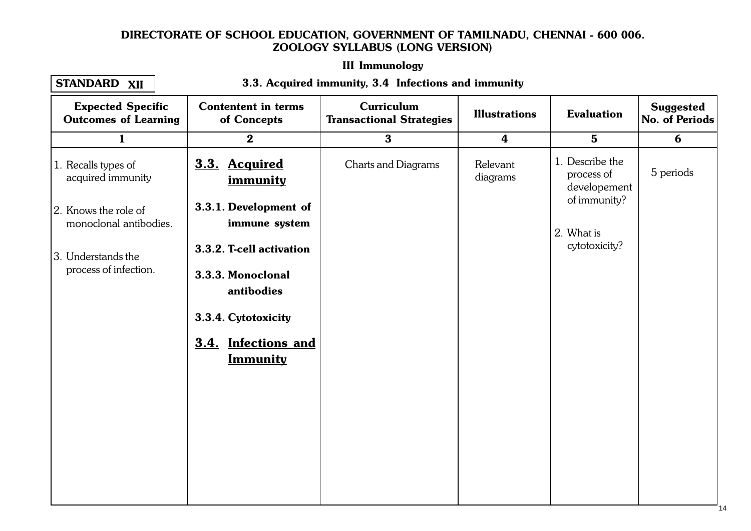# III Immunology

#### STANDARD XII

#### 1.1. Cellular Level Organisation of the Contract Organisation of the Contract Organisation of the Contract Org<br>The Contract Organisation of the Contract Organisation of the Contract Organisation of the Contract Organisatio 3.3. Acquired immunity, 3.4 Infections and immunity

| <b>Expected Specific</b><br><b>Outcomes of Learning</b> | <b>Contentent in terms</b><br>of Concepts     | <b>Curriculum</b><br><b>Transactional Strategies</b> | <b>Illustrations</b>    | <b>Evaluation</b>                             | <b>Suggested</b><br>No. of Periods |
|---------------------------------------------------------|-----------------------------------------------|------------------------------------------------------|-------------------------|-----------------------------------------------|------------------------------------|
| $\mathbf{1}$                                            | $\boldsymbol{2}$                              | $\mathbf{3}$                                         | $\overline{\mathbf{4}}$ | $5\phantom{1}$                                | 6                                  |
| 1. Recalls types of<br>acquired immunity                | 3.3. Acquired<br>immunity                     | Charts and Diagrams                                  | Relevant<br>diagrams    | 1. Describe the<br>process of<br>developement | 5 periods                          |
| 2. Knows the role of<br>monoclonal antibodies.          | 3.3.1. Development of<br>immune system        |                                                      |                         | of immunity?<br>2. What is                    |                                    |
| 3. Understands the<br>process of infection.             | 3.3.2. T-cell activation<br>3.3.3. Monoclonal |                                                      |                         | cytotoxicity?                                 |                                    |
|                                                         | antibodies<br>3.3.4. Cytotoxicity             |                                                      |                         |                                               |                                    |
|                                                         | 3.4. Infections and<br><b>Immunity</b>        |                                                      |                         |                                               |                                    |
|                                                         |                                               |                                                      |                         |                                               |                                    |
|                                                         |                                               |                                                      |                         |                                               |                                    |
|                                                         |                                               |                                                      |                         |                                               |                                    |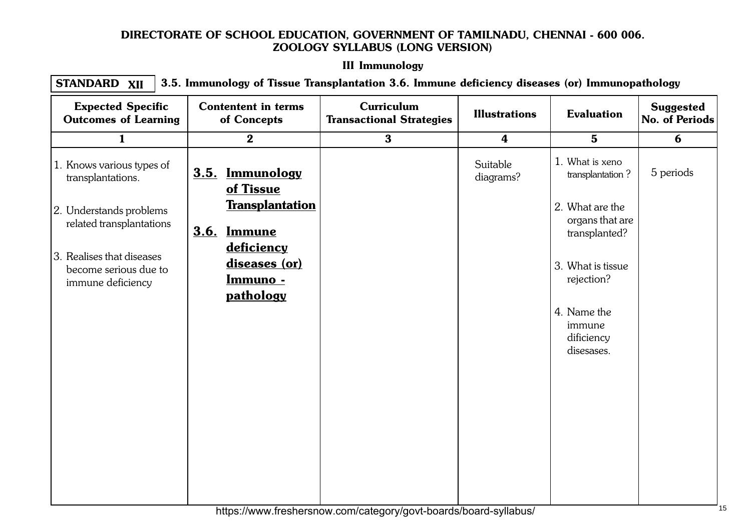# III Immunology

1.1. Cellular Level Organisation of the California Congress of the California Congress of the California Congr<br>1.1. Cellular Level Organisation of the California Congress of the California Congress of the California Congr STANDARD 3.5. Immunology of Tissue Transplantation 3.6. Immune deficiency diseases (or) Immunopathology XII

| <b>Expected Specific</b><br><b>Outcomes of Learning</b>                 | <b>Contentent in terms</b><br>of Concepts                          | Curriculum<br><b>Transactional Strategies</b> | <b>Illustrations</b>  | <b>Evaluation</b>                                   | <b>Suggested</b><br>No. of Periods |
|-------------------------------------------------------------------------|--------------------------------------------------------------------|-----------------------------------------------|-----------------------|-----------------------------------------------------|------------------------------------|
| $\mathbf{1}$                                                            | $\bf{2}$                                                           | $\mathbf{3}$                                  | $\boldsymbol{4}$      | $5\phantom{1}$                                      | 6                                  |
| 1. Knows various types of<br>transplantations.                          | 3.5. Immunology<br>of Tissue                                       |                                               | Suitable<br>diagrams? | 1. What is xeno<br>transplantation?                 | 5 periods                          |
| 2. Understands problems<br>related transplantations                     | <b>Transplantation</b><br><b>3.6. Immune</b>                       |                                               |                       | 2. What are the<br>organs that are<br>transplanted? |                                    |
| 3. Realises that diseases<br>become serious due to<br>immune deficiency | <u>deficiency</u><br>diseases (or)<br><u>Immuno -</u><br>pathology |                                               |                       | 3. What is tissue<br>rejection?                     |                                    |
|                                                                         |                                                                    |                                               |                       | 4. Name the<br>immune<br>dificiency<br>disesases.   |                                    |
|                                                                         |                                                                    |                                               |                       |                                                     |                                    |
|                                                                         |                                                                    |                                               |                       |                                                     |                                    |
|                                                                         |                                                                    |                                               |                       |                                                     |                                    |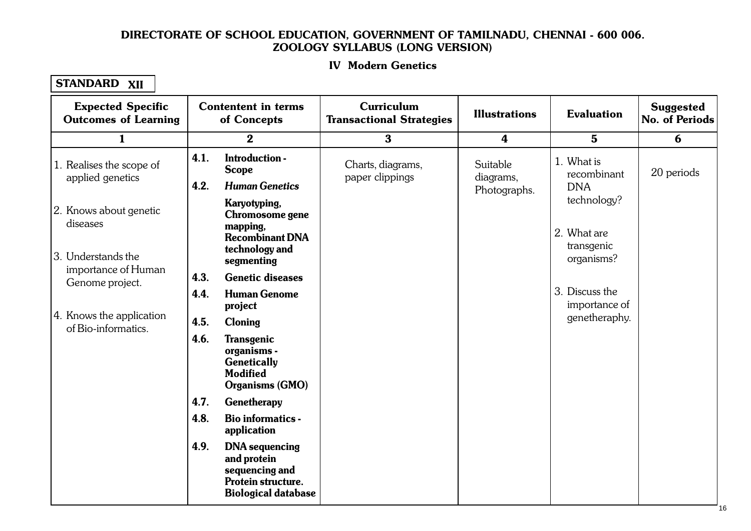#### IV Modern Genetics 1.1. Cellular Level Organisation

| <b>Expected Specific</b><br><b>Outcomes of Learning</b> |      | <b>Contentent in terms</b><br>of Concepts                                                                  | <b>Curriculum</b><br><b>Transactional Strategies</b> | <b>Illustrations</b>    | <b>Evaluation</b>                       | <b>Suggested</b><br>No. of Periods |
|---------------------------------------------------------|------|------------------------------------------------------------------------------------------------------------|------------------------------------------------------|-------------------------|-----------------------------------------|------------------------------------|
| $\mathbf{1}$                                            |      | $\bf{2}$                                                                                                   | $\bf{3}$                                             | $\overline{\mathbf{4}}$ | $5\phantom{.0}$                         | 6                                  |
| 1. Realises the scope of<br>applied genetics            | 4.1. | Introduction -<br><b>Scope</b>                                                                             | Charts, diagrams,<br>paper clippings                 | Suitable<br>diagrams,   | 1. What is<br>recombinant               | 20 periods                         |
| 2. Knows about genetic<br>diseases                      | 4.2. | <b>Human Genetics</b><br>Karyotyping,<br>Chromosome gene                                                   |                                                      | Photographs.            | <b>DNA</b><br>technology?               |                                    |
| 13. Understands the                                     |      | mapping,<br><b>Recombinant DNA</b><br>technology and<br>segmenting                                         |                                                      |                         | 2. What are<br>transgenic<br>organisms? |                                    |
| importance of Human<br>Genome project.                  | 4.3. | <b>Genetic diseases</b>                                                                                    |                                                      |                         |                                         |                                    |
|                                                         | 4.4. | <b>Human Genome</b><br>project                                                                             |                                                      |                         | 3. Discuss the<br>importance of         |                                    |
| 4. Knows the application<br>of Bio-informatics.         | 4.5. | <b>Cloning</b>                                                                                             |                                                      |                         | genetheraphy.                           |                                    |
|                                                         | 4.6. | <b>Transgenic</b><br>organisms -<br><b>Genetically</b><br><b>Modified</b><br><b>Organisms (GMO)</b>        |                                                      |                         |                                         |                                    |
|                                                         | 4.7. | Genetherapy                                                                                                |                                                      |                         |                                         |                                    |
|                                                         | 4.8. | <b>Bio informatics -</b><br>application                                                                    |                                                      |                         |                                         |                                    |
|                                                         | 4.9. | <b>DNA</b> sequencing<br>and protein<br>sequencing and<br>Protein structure.<br><b>Biological database</b> |                                                      |                         |                                         |                                    |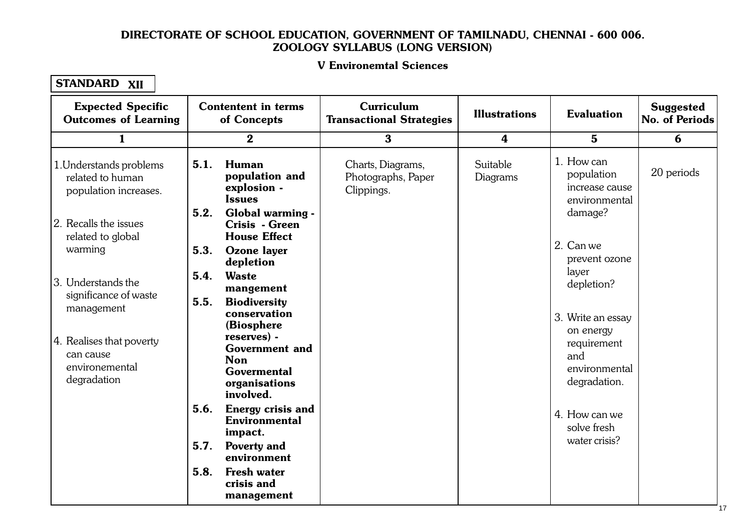#### V Environemtal Sciences 1. Cellular Level Organisation Computer Level Organisation of the United States of the United States of the United States of the United States of the United States of the United States of the United States of the United St

| <b>Expected Specific</b><br><b>Outcomes of Learning</b>                | <b>Contentent in terms</b><br>of Concepts                                                              | Curriculum<br><b>Transactional Strategies</b>         | <b>Illustrations</b> | <b>Evaluation</b>                                           | <b>Suggested</b><br>No. of Periods |
|------------------------------------------------------------------------|--------------------------------------------------------------------------------------------------------|-------------------------------------------------------|----------------------|-------------------------------------------------------------|------------------------------------|
| $\mathbf{1}$                                                           | $\bf{2}$                                                                                               | $\mathbf{3}$                                          | 4                    | $5\phantom{.0}$                                             | 6                                  |
| 1. Understands problems<br>related to human<br>population increases.   | <b>Human</b><br>5.1.<br>population and<br>explosion -<br><b>Issues</b>                                 | Charts, Diagrams,<br>Photographs, Paper<br>Clippings. | Suitable<br>Diagrams | 1. How can<br>population<br>increase cause<br>environmental | 20 periods                         |
| 2. Recalls the issues<br>related to global                             | 5.2.<br>Global warming -<br>Crisis - Green<br><b>House Effect</b>                                      |                                                       |                      | damage?                                                     |                                    |
| warming                                                                | 5.3.<br><b>Ozone</b> layer<br>depletion                                                                |                                                       |                      | 2. Can we<br>prevent ozone                                  |                                    |
| 3. Understands the<br>significance of waste                            | 5.4.<br><b>Waste</b><br>mangement<br>5.5.<br><b>Biodiversity</b>                                       |                                                       |                      | layer<br>depletion?                                         |                                    |
| management                                                             | conservation<br>(Biosphere                                                                             |                                                       |                      | 3. Write an essay<br>on energy                              |                                    |
| 4. Realises that poverty<br>can cause<br>environemental<br>degradation | reserves) -<br><b>Government and</b><br><b>Non</b><br><b>Govermental</b><br>organisations<br>involved. |                                                       |                      | requirement<br>and<br>environmental<br>degradation.         |                                    |
|                                                                        | 5.6.<br><b>Energy crisis and</b><br><b>Environmental</b><br>impact.                                    |                                                       |                      | 4. How can we<br>solve fresh                                |                                    |
|                                                                        | 5.7.<br><b>Poverty and</b><br>environment                                                              |                                                       |                      | water crisis?                                               |                                    |
|                                                                        | 5.8.<br><b>Fresh water</b><br>crisis and<br>management                                                 |                                                       |                      |                                                             |                                    |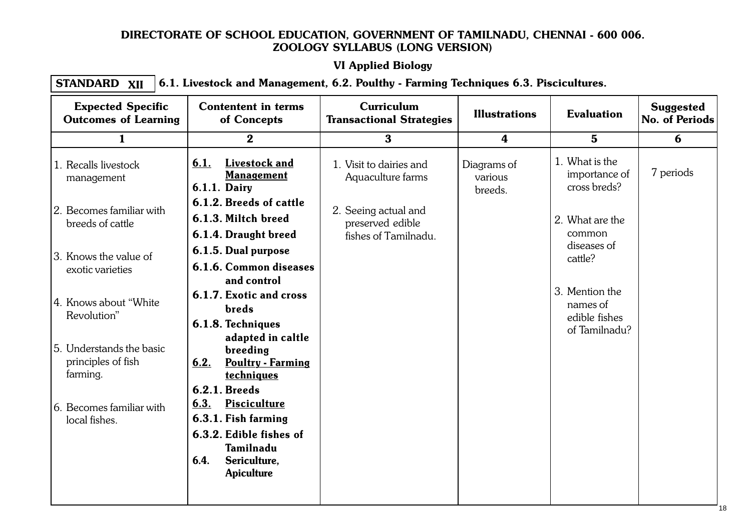# VI Applied Biology

#### $1.1.1$   $P_{\text{P}}$  and  $P_{\text{P}}$  are  $P_{\text{P}}$  and  $P_{\text{P}}$ STANDARD XII  $\boldsymbol{\chi_{\text{II}}}\mid$   $6.1.$  Livestock and Management, 6.2. Poulthy - Farming Techniques 6.3. Piscicultures.

| <b>Expected Specific</b><br><b>Outcomes of Learning</b>    | <b>Contentent in terms</b><br>of Concepts                                                                                               | <b>Curriculum</b><br><b>Transactional Strategies</b>             | <b>Illustrations</b>              | <b>Evaluation</b>                                            | <b>Suggested</b><br>No. of Periods |
|------------------------------------------------------------|-----------------------------------------------------------------------------------------------------------------------------------------|------------------------------------------------------------------|-----------------------------------|--------------------------------------------------------------|------------------------------------|
| $\mathbf{1}$                                               | $\mathbf{2}$                                                                                                                            | 3 <sup>1</sup>                                                   | $\overline{\mathbf{4}}$           | $5\phantom{1}$                                               | 6                                  |
| 1. Recalls livestock<br>management                         | Livestock and<br>6.1.<br><b>Management</b><br><b>6.1.1. Dairy</b>                                                                       | 1. Visit to dairies and<br>Aquaculture farms                     | Diagrams of<br>various<br>breeds. | 1. What is the<br>importance of<br>cross breds?              | 7 periods                          |
| 2. Becomes familiar with<br>breeds of cattle               | 6.1.2. Breeds of cattle<br>6.1.3. Miltch breed<br>6.1.4. Draught breed                                                                  | 2. Seeing actual and<br>preserved edible<br>fishes of Tamilnadu. |                                   | 2. What are the<br>common                                    |                                    |
| 3. Knows the value of<br>exotic varieties                  | 6.1.5. Dual purpose<br>6.1.6. Common diseases<br>and control                                                                            |                                                                  |                                   | diseases of<br>cattle?                                       |                                    |
| 4. Knows about "White"<br>Revolution"                      | 6.1.7. Exotic and cross<br><b>breds</b><br>6.1.8. Techniques                                                                            |                                                                  |                                   | 3. Mention the<br>names of<br>edible fishes<br>of Tamilnadu? |                                    |
| 5. Understands the basic<br>principles of fish<br>farming. | adapted in caltle<br>breeding<br><b>Poultry - Farming</b><br>6.2.<br>techniques<br><b>6.2.1. Breeds</b>                                 |                                                                  |                                   |                                                              |                                    |
| 6. Becomes familiar with<br>local fishes.                  | 6.3.<br><b>Pisciculture</b><br>6.3.1. Fish farming<br>6.3.2. Edible fishes of<br>Tamilnadu<br>6.4.<br>Sericulture,<br><b>Apiculture</b> |                                                                  |                                   |                                                              |                                    |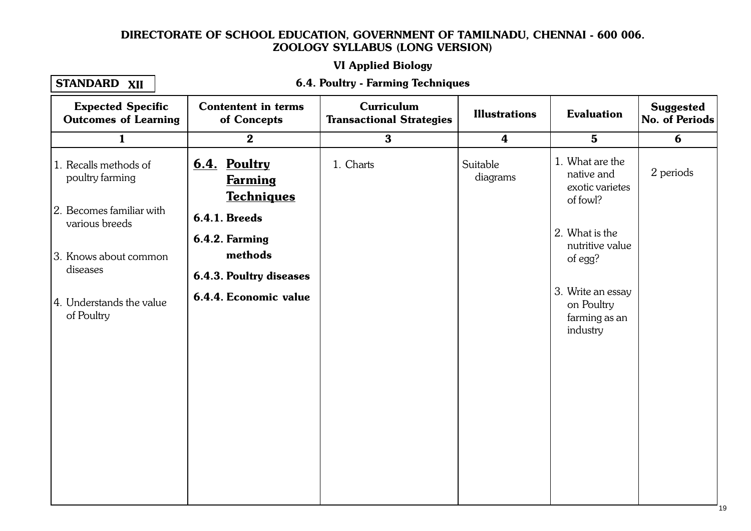# VI Applied Biology

#### STANDARD XII

#### $1.1.1$  Cellular Level Organisation  $\sim$ 6.4. Poultry - Farming Techniques

| <b>Expected Specific</b><br><b>Outcomes of Learning</b> | <b>Contentent in terms</b><br>of Concepts           | <b>Curriculum</b><br><b>Transactional Strategies</b> | <b>Illustrations</b> | <b>Evaluation</b>                                            | <b>Suggested</b><br>No. of Periods |
|---------------------------------------------------------|-----------------------------------------------------|------------------------------------------------------|----------------------|--------------------------------------------------------------|------------------------------------|
| $\mathbf{1}$                                            | $\bf{2}$                                            | $\bf{3}$                                             | $\boldsymbol{4}$     | $5\phantom{.}$                                               | 6                                  |
| 1. Recalls methods of<br>poultry farming                | 6.4. Poultry<br><b>Farming</b><br><b>Techniques</b> | 1. Charts                                            | Suitable<br>diagrams | 1. What are the<br>native and<br>exotic varietes<br>of fowl? | 2 periods                          |
| 2. Becomes familiar with<br>various breeds              | <b>6.4.1. Breeds</b>                                |                                                      |                      |                                                              |                                    |
| 3. Knows about common                                   | 6.4.2. Farming<br>methods                           |                                                      |                      | 2. What is the<br>nutritive value<br>of egg?                 |                                    |
| diseases                                                | <b>6.4.3. Poultry diseases</b>                      |                                                      |                      |                                                              |                                    |
| 4. Understands the value<br>of Poultry                  | 6.4.4. Economic value                               |                                                      |                      | 3. Write an essay<br>on Poultry<br>farming as an<br>industry |                                    |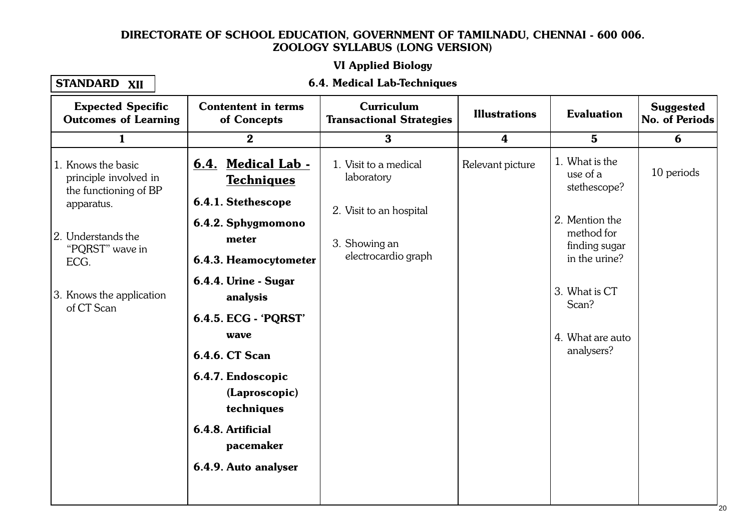# VI Applied Biology

#### STANDARD XII

#### 1.1. Cellular Level Organisation Constantine Constantine Constantine Constantine Constantine Constantine Const 6.4. Medical Lab-Techniques

| <b>Expected Specific</b><br><b>Outcomes of Learning</b>                                                                                                                       | <b>Contentent in terms</b><br>of Concepts                                                                                                                                                                                                                                            | <b>Curriculum</b><br><b>Transactional Strategies</b>                                                   | <b>Illustrations</b> | <b>Evaluation</b>                                                                                                                                                        | <b>Suggested</b><br><b>No. of Periods</b> |
|-------------------------------------------------------------------------------------------------------------------------------------------------------------------------------|--------------------------------------------------------------------------------------------------------------------------------------------------------------------------------------------------------------------------------------------------------------------------------------|--------------------------------------------------------------------------------------------------------|----------------------|--------------------------------------------------------------------------------------------------------------------------------------------------------------------------|-------------------------------------------|
| $\mathbf{1}$                                                                                                                                                                  | $\boldsymbol{2}$                                                                                                                                                                                                                                                                     | $\bf{3}$                                                                                               | $\boldsymbol{4}$     | $5\phantom{.}$                                                                                                                                                           | 6                                         |
| 1. Knows the basic<br>principle involved in<br>the functioning of BP<br>apparatus.<br>2. Understands the<br>"PQRST" wave in<br>ECG.<br>3. Knows the application<br>of CT Scan | 6.4. Medical Lab -<br><b>Techniques</b><br>6.4.1. Stethescope<br>6.4.2. Sphygmomono<br>meter<br>6.4.3. Heamocytometer<br>6.4.4. Urine - Sugar<br>analysis<br>6.4.5. ECG - 'PQRST'<br>wave<br>6.4.6. CT Scan<br>6.4.7. Endoscopic<br>(Laproscopic)<br>techniques<br>6.4.8. Artificial | 1. Visit to a medical<br>laboratory<br>2. Visit to an hospital<br>3. Showing an<br>electrocardio graph | Relevant picture     | 1. What is the<br>use of a<br>stethescope?<br>2. Mention the<br>method for<br>finding sugar<br>in the urine?<br>3. What is CT<br>Scan?<br>4. What are auto<br>analysers? | 10 periods                                |
|                                                                                                                                                                               | pacemaker<br>6.4.9. Auto analyser                                                                                                                                                                                                                                                    |                                                                                                        |                      |                                                                                                                                                                          |                                           |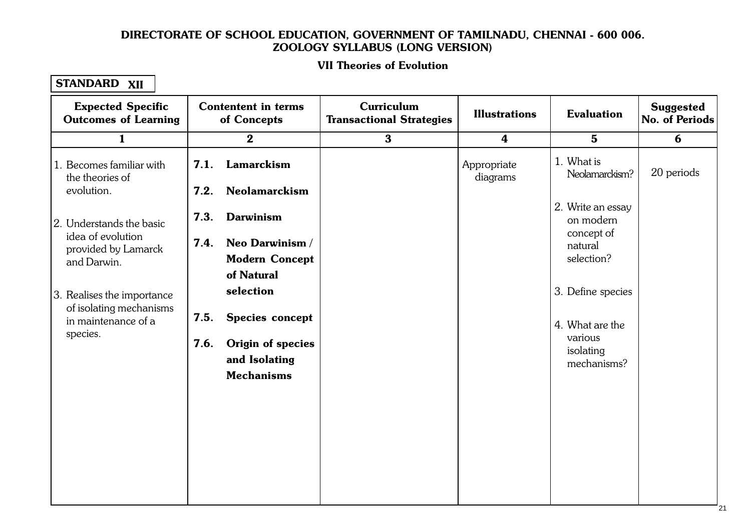#### II Theories of Evolutic 1.1. Cellular Level Organisation VII Theories of Evolution

| <b>Expected Specific</b><br><b>Outcomes of Learning</b>                                  | <b>Contentent in terms</b><br>of Concepts                                                               | Curriculum<br><b>Transactional Strategies</b> | <b>Illustrations</b>    | <b>Evaluation</b>                                                           | <b>Suggested</b><br>No. of Periods |
|------------------------------------------------------------------------------------------|---------------------------------------------------------------------------------------------------------|-----------------------------------------------|-------------------------|-----------------------------------------------------------------------------|------------------------------------|
| $\mathbf{1}$                                                                             | $\mathbf{2}$                                                                                            | $\bf{3}$                                      | $\boldsymbol{4}$        | $5\phantom{1}$                                                              | 6                                  |
| 1. Becomes familiar with<br>the theories of<br>evolution.                                | Lamarckism<br>7.1.<br>7.2.<br><b>Neolamarckism</b>                                                      |                                               | Appropriate<br>diagrams | 1. What is<br>Neolamarckism?                                                | 20 periods                         |
| 2. Understands the basic<br>idea of evolution<br>provided by Lamarck<br>and Darwin.      | 7.3.<br><b>Darwinism</b><br>7.4.<br>Neo Darwinism /<br><b>Modern Concept</b><br>of Natural              |                                               |                         | 2. Write an essay<br>on modern<br>concept of<br>natural<br>selection?       |                                    |
| 3. Realises the importance<br>of isolating mechanisms<br>in maintenance of a<br>species. | selection<br>7.5.<br>Species concept<br>7.6.<br>Origin of species<br>and Isolating<br><b>Mechanisms</b> |                                               |                         | 3. Define species<br>4. What are the<br>various<br>isolating<br>mechanisms? |                                    |
|                                                                                          |                                                                                                         |                                               |                         |                                                                             |                                    |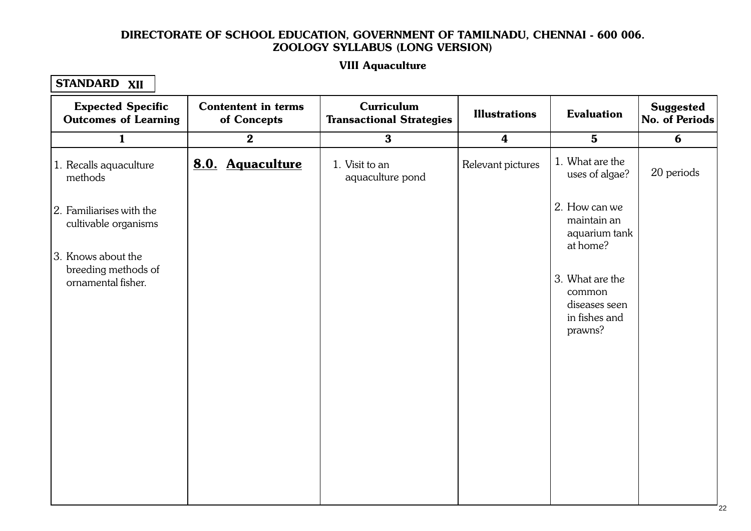#### VIII Aguaculture  $1.111112$  cellular Level Organisation  $\frac{1}{2}$ VIII Aquaculture

| <b>Expected Specific</b><br><b>Outcomes of Learning</b>                | <b>Contentent in terms</b><br>of Concepts | Curriculum<br><b>Transactional Strategies</b> | <b>Illustrations</b> | <b>Evaluation</b>                                                      | <b>Suggested</b><br>No. of Periods |
|------------------------------------------------------------------------|-------------------------------------------|-----------------------------------------------|----------------------|------------------------------------------------------------------------|------------------------------------|
| $\mathbf{1}$                                                           | $\boldsymbol{2}$                          | $\bf{3}$                                      | $\boldsymbol{4}$     | $\mathbf{5}$                                                           | 6                                  |
| 1. Recalls aquaculture<br>methods                                      | 8.0. Aquaculture                          | 1. Visit to an<br>aquaculture pond            | Relevant pictures    | 1. What are the<br>uses of algae?                                      | 20 periods                         |
| 2. Familiarises with the<br>cultivable organisms<br>3. Knows about the |                                           |                                               |                      | 2. How can we<br>maintain an<br>aquarium tank<br>at home?              |                                    |
| breeding methods of<br>ornamental fisher.                              |                                           |                                               |                      | 3. What are the<br>common<br>diseases seen<br>in fishes and<br>prawns? |                                    |